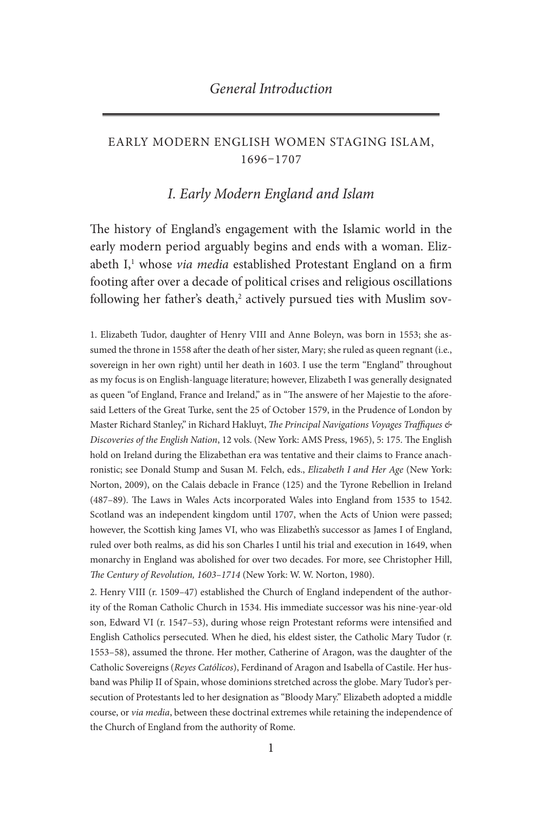## Early modern english women staging islam, 1696–1707

## *I. Early Modern England and Islam*

The history of England's engagement with the Islamic world in the early modern period arguably begins and ends with a woman. Elizabeth I, 1 whose *via media* established Protestant England on a firm footing after over a decade of political crises and religious oscillations following her father's death,<sup>2</sup> actively pursued ties with Muslim sov-

1. Elizabeth Tudor, daughter of Henry VIII and Anne Boleyn, was born in 1553; she assumed the throne in 1558 after the death of her sister, Mary; she ruled as queen regnant (i.e., sovereign in her own right) until her death in 1603. I use the term "England" throughout as my focus is on English-language literature; however, Elizabeth I was generally designated as queen "of England, France and Ireland," as in "The answere of her Majestie to the aforesaid Letters of the Great Turke, sent the 25 of October 1579, in the Prudence of London by Master Richard Stanley," in Richard Hakluyt, *The Principal Navigations Voyages Traffiques & Discoveries of the English Nation*, 12 vols. (New York: AMS Press, 1965), 5: 175. The English hold on Ireland during the Elizabethan era was tentative and their claims to France anachronistic; see Donald Stump and Susan M. Felch, eds., *Elizabeth I and Her Age* (New York: Norton, 2009), on the Calais debacle in France (125) and the Tyrone Rebellion in Ireland (487–89). The Laws in Wales Acts incorporated Wales into England from 1535 to 1542. Scotland was an independent kingdom until 1707, when the Acts of Union were passed; however, the Scottish king James VI, who was Elizabeth's successor as James I of England, ruled over both realms, as did his son Charles I until his trial and execution in 1649, when monarchy in England was abolished for over two decades. For more, see Christopher Hill, *The Century of Revolution, 1603–1714* (New York: W. W. Norton, 1980).

2. Henry VIII (r. 1509–47) established the Church of England independent of the authority of the Roman Catholic Church in 1534. His immediate successor was his nine-year-old son, Edward VI (r. 1547–53), during whose reign Protestant reforms were intensified and English Catholics persecuted. When he died, his eldest sister, the Catholic Mary Tudor (r. 1553–58), assumed the throne. Her mother, Catherine of Aragon, was the daughter of the Catholic Sovereigns (*Reyes Católicos*), Ferdinand of Aragon and Isabella of Castile. Her husband was Philip II of Spain, whose dominions stretched across the globe. Mary Tudor's persecution of Protestants led to her designation as "Bloody Mary." Elizabeth adopted a middle course, or *via media*, between these doctrinal extremes while retaining the independence of the Church of England from the authority of Rome.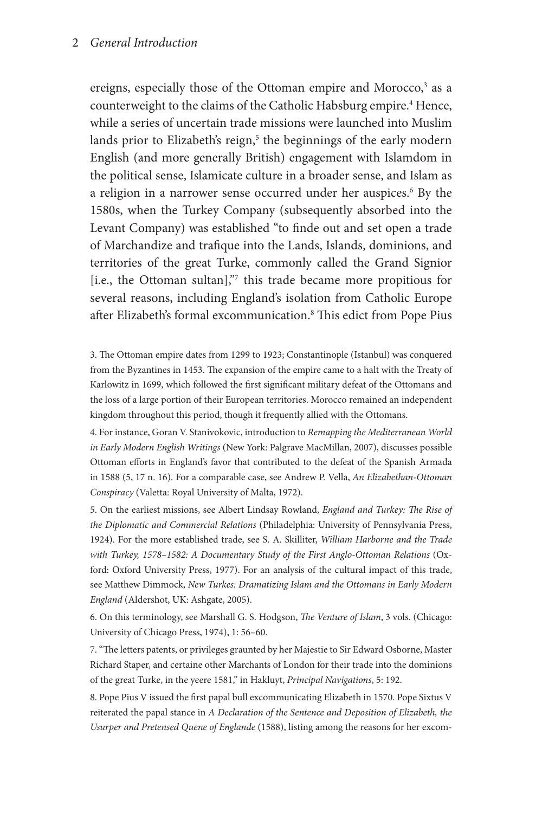ereigns, especially those of the Ottoman empire and Morocco,<sup>3</sup> as a counterweight to the claims of the Catholic Habsburg empire.<sup>4</sup> Hence, while a series of uncertain trade missions were launched into Muslim lands prior to Elizabeth's reign,<sup>5</sup> the beginnings of the early modern English (and more generally British) engagement with Islamdom in the political sense, Islamicate culture in a broader sense, and Islam as a religion in a narrower sense occurred under her auspices.<sup>6</sup> By the 1580s, when the Turkey Company (subsequently absorbed into the Levant Company) was established "to finde out and set open a trade of Marchandize and trafique into the Lands, Islands, dominions, and territories of the great Turke, commonly called the Grand Signior [i.e., the Ottoman sultan],"<sup>7</sup> this trade became more propitious for several reasons, including England's isolation from Catholic Europe after Elizabeth's formal excommunication.8 This edict from Pope Pius

3. The Ottoman empire dates from 1299 to 1923; Constantinople (Istanbul) was conquered from the Byzantines in 1453. The expansion of the empire came to a halt with the Treaty of Karlowitz in 1699, which followed the first significant military defeat of the Ottomans and the loss of a large portion of their European territories. Morocco remained an independent kingdom throughout this period, though it frequently allied with the Ottomans.

4. For instance, Goran V. Stanivokovic, introduction to *Remapping the Mediterranean World in Early Modern English Writings* (New York: Palgrave MacMillan, 2007), discusses possible Ottoman efforts in England's favor that contributed to the defeat of the Spanish Armada in 1588 (5, 17 n. 16). For a comparable case, see Andrew P. Vella, *An Elizabethan-Ottoman Conspiracy* (Valetta: Royal University of Malta, 1972).

5. On the earliest missions, see Albert Lindsay Rowland, *England and Turkey: The Rise of the Diplomatic and Commercial Relations* (Philadelphia: University of Pennsylvania Press, 1924). For the more established trade, see S. A. Skilliter, *William Harborne and the Trade*  with Turkey, 1578–1582: A Documentary Study of the First Anglo-Ottoman Relations (Oxford: Oxford University Press, 1977). For an analysis of the cultural impact of this trade, see Matthew Dimmock, *New Turkes: Dramatizing Islam and the Ottomans in Early Modern England* (Aldershot, UK: Ashgate, 2005).

6. On this terminology, see Marshall G. S. Hodgson, *The Venture of Islam*, 3 vols. (Chicago: University of Chicago Press, 1974), 1: 56–60.

7. "The letters patents, or privileges graunted by her Majestie to Sir Edward Osborne, Master Richard Staper, and certaine other Marchants of London for their trade into the dominions of the great Turke, in the yeere 1581," in Hakluyt, *Principal Navigations*, 5: 192.

8. Pope Pius V issued the first papal bull excommunicating Elizabeth in 1570. Pope Sixtus V reiterated the papal stance in *A Declaration of the Sentence and Deposition of Elizabeth, the Usurper and Pretensed Quene of Englande* (1588), listing among the reasons for her excom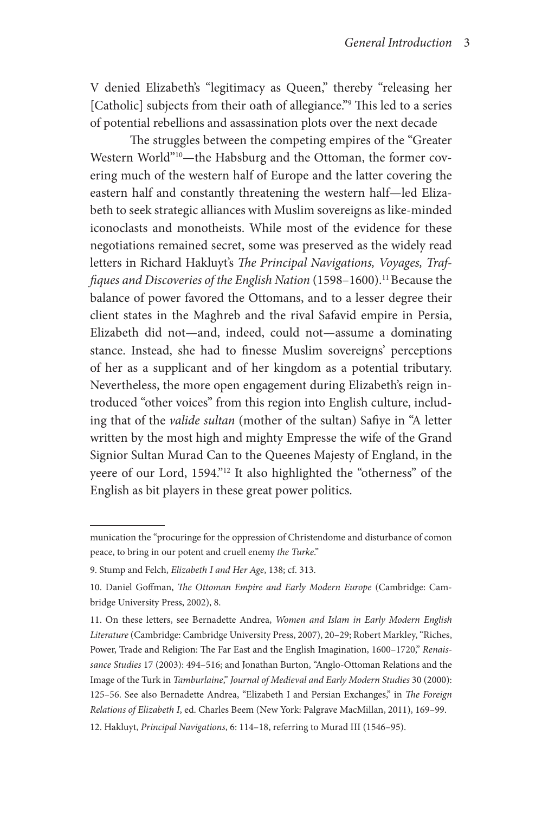V denied Elizabeth's "legitimacy as Queen," thereby "releasing her [Catholic] subjects from their oath of allegiance."9 This led to a series of potential rebellions and assassination plots over the next decade

The struggles between the competing empires of the "Greater Western World"<sup>10</sup>-the Habsburg and the Ottoman, the former covering much of the western half of Europe and the latter covering the eastern half and constantly threatening the western half—led Elizabeth to seek strategic alliances with Muslim sovereigns as like-minded iconoclasts and monotheists. While most of the evidence for these negotiations remained secret, some was preserved as the widely read letters in Richard Hakluyt's *The Principal Navigations, Voyages, Traffiques and Discoveries of the English Nation* (1598–1600).<sup>11</sup> Because the balance of power favored the Ottomans, and to a lesser degree their client states in the Maghreb and the rival Safavid empire in Persia, Elizabeth did not—and, indeed, could not—assume a dominating stance. Instead, she had to finesse Muslim sovereigns' perceptions of her as a supplicant and of her kingdom as a potential tributary. Nevertheless, the more open engagement during Elizabeth's reign introduced "other voices" from this region into English culture, including that of the *valide sultan* (mother of the sultan) Safiye in "A letter written by the most high and mighty Empresse the wife of the Grand Signior Sultan Murad Can to the Queenes Majesty of England, in the yeere of our Lord, 1594."12 It also highlighted the "otherness" of the English as bit players in these great power politics.

munication the "procuringe for the oppression of Christendome and disturbance of comon peace, to bring in our potent and cruell enemy *the Turke*."

<sup>9.</sup> Stump and Felch, *Elizabeth I and Her Age*, 138; cf. 313.

<sup>10.</sup> Daniel Goffman, *The Ottoman Empire and Early Modern Europe* (Cambridge: Cambridge University Press, 2002), 8.

<sup>11.</sup> On these letters, see Bernadette Andrea, *Women and Islam in Early Modern English Literature* (Cambridge: Cambridge University Press, 2007), 20–29; Robert Markley, "Riches, Power, Trade and Religion: The Far East and the English Imagination, 1600–1720," *Renaissance Studies* 17 (2003): 494–516; and Jonathan Burton, "Anglo-Ottoman Relations and the Image of the Turk in *Tamburlaine*," *Journal of Medieval and Early Modern Studies* 30 (2000): 125–56. See also Bernadette Andrea, "Elizabeth I and Persian Exchanges," in *The Foreign Relations of Elizabeth I*, ed. Charles Beem (New York: Palgrave MacMillan, 2011), 169–99. 12. Hakluyt, *Principal Navigations*, 6: 114–18, referring to Murad III (1546–95).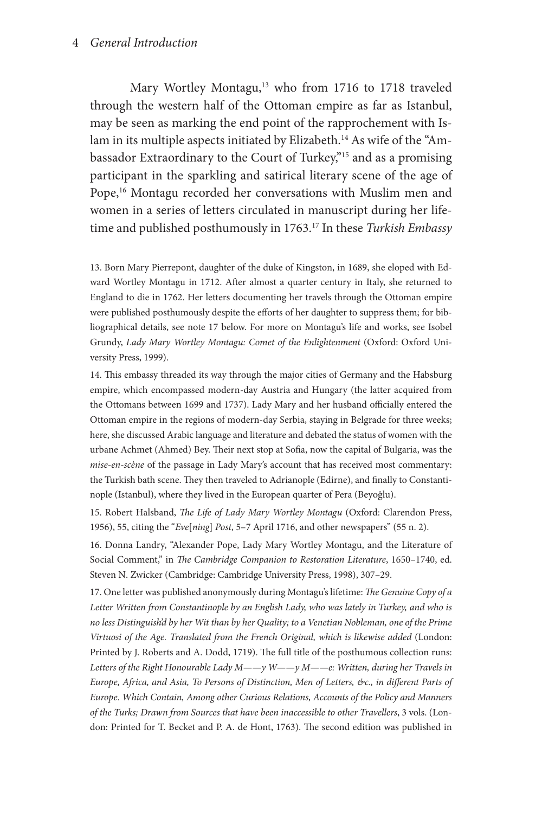Mary Wortley Montagu,<sup>13</sup> who from 1716 to 1718 traveled through the western half of the Ottoman empire as far as Istanbul, may be seen as marking the end point of the rapprochement with Islam in its multiple aspects initiated by Elizabeth.<sup>14</sup> As wife of the "Ambassador Extraordinary to the Court of Turkey,"15 and as a promising participant in the sparkling and satirical literary scene of the age of Pope,<sup>16</sup> Montagu recorded her conversations with Muslim men and women in a series of letters circulated in manuscript during her lifetime and published posthumously in 1763.17 In these *Turkish Embassy* 

13. Born Mary Pierrepont, daughter of the duke of Kingston, in 1689, she eloped with Edward Wortley Montagu in 1712. After almost a quarter century in Italy, she returned to England to die in 1762. Her letters documenting her travels through the Ottoman empire were published posthumously despite the efforts of her daughter to suppress them; for bibliographical details, see note 17 below. For more on Montagu's life and works, see Isobel Grundy, *Lady Mary Wortley Montagu: Comet of the Enlightenment* (Oxford: Oxford University Press, 1999).

14. This embassy threaded its way through the major cities of Germany and the Habsburg empire, which encompassed modern-day Austria and Hungary (the latter acquired from the Ottomans between 1699 and 1737). Lady Mary and her husband officially entered the Ottoman empire in the regions of modern-day Serbia, staying in Belgrade for three weeks; here, she discussed Arabic language and literature and debated the status of women with the urbane Achmet (Ahmed) Bey. Their next stop at Sofia, now the capital of Bulgaria, was the *mise-en-scène* of the passage in Lady Mary's account that has received most commentary: the Turkish bath scene. They then traveled to Adrianople (Edirne), and finally to Constantinople (Istanbul), where they lived in the European quarter of Pera (Beyoğlu).

15. Robert Halsband, *The Life of Lady Mary Wortley Montagu* (Oxford: Clarendon Press, 1956), 55, citing the "*Eve*[*ning*] *Post*, 5–7 April 1716, and other newspapers" (55 n. 2).

16. Donna Landry, "Alexander Pope, Lady Mary Wortley Montagu, and the Literature of Social Comment," in *The Cambridge Companion to Restoration Literature*, 1650–1740, ed. Steven N. Zwicker (Cambridge: Cambridge University Press, 1998), 307–29.

17. One letter was published anonymously during Montagu's lifetime: *The Genuine Copy of a Letter Written from Constantinople by an English Lady, who was lately in Turkey, and who is no less Distinguish'd by her Wit than by her Quality; to a Venetian Nobleman, one of the Prime Virtuosi of the Age. Translated from the French Original, which is likewise added* (London: Printed by J. Roberts and A. Dodd, 1719). The full title of the posthumous collection runs: *Letters of the Right Honourable Lady M——y W——y M——e: Written, during her Travels in Europe, Africa, and Asia, To Persons of Distinction, Men of Letters, &c., in different Parts of Europe. Which Contain, Among other Curious Relations, Accounts of the Policy and Manners of the Turks; Drawn from Sources that have been inaccessible to other Travellers*, 3 vols. (London: Printed for T. Becket and P. A. de Hont, 1763). The second edition was published in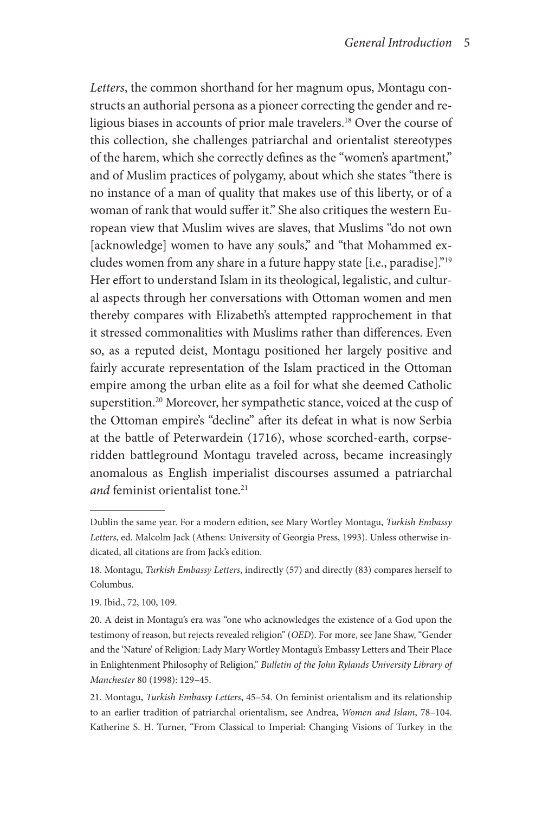*Letters*, the common shorthand for her magnum opus, Montagu constructs an authorial persona as a pioneer correcting the gender and religious biases in accounts of prior male travelers.18 Over the course of this collection, she challenges patriarchal and orientalist stereotypes of the harem, which she correctly defines as the "women's apartment," and of Muslim practices of polygamy, about which she states "there is no instance of a man of quality that makes use of this liberty, or of a woman of rank that would suffer it." She also critiques the western European view that Muslim wives are slaves, that Muslims "do not own [acknowledge] women to have any souls," and "that Mohammed excludes women from any share in a future happy state [i.e., paradise]."19 Her effort to understand Islam in its theological, legalistic, and cultural aspects through her conversations with Ottoman women and men thereby compares with Elizabeth's attempted rapprochement in that it stressed commonalities with Muslims rather than differences. Even so, as a reputed deist, Montagu positioned her largely positive and fairly accurate representation of the Islam practiced in the Ottoman empire among the urban elite as a foil for what she deemed Catholic superstition.20 Moreover, her sympathetic stance, voiced at the cusp of the Ottoman empire's "decline" after its defeat in what is now Serbia at the battle of Peterwardein (1716), whose scorched-earth, corpseridden battleground Montagu traveled across, became increasingly anomalous as English imperialist discourses assumed a patriarchal *and* feminist orientalist tone.<sup>21</sup>

19. Ibid., 72, 100, 109.

20. A deist in Montagu's era was "one who acknowledges the existence of a God upon the testimony of reason, but rejects revealed religion" (*OED*). For more, see Jane Shaw, "Gender and the 'Nature' of Religion: Lady Mary Wortley Montagu's Embassy Letters and Their Place in Enlightenment Philosophy of Religion," *Bulletin of the John Rylands University Library of Manchester* 80 (1998): 129–45.

21. Montagu, *Turkish Embassy Letters*, 45–54. On feminist orientalism and its relationship to an earlier tradition of patriarchal orientalism, see Andrea, *Women and Islam*, 78–104. Katherine S. H. Turner, "From Classical to Imperial: Changing Visions of Turkey in the

Dublin the same year. For a modern edition, see Mary Wortley Montagu, *Turkish Embassy Letters*, ed. Malcolm Jack (Athens: University of Georgia Press, 1993). Unless otherwise indicated, all citations are from Jack's edition.

<sup>18.</sup> Montagu, *Turkish Embassy Letters*, indirectly (57) and directly (83) compares herself to Columbus.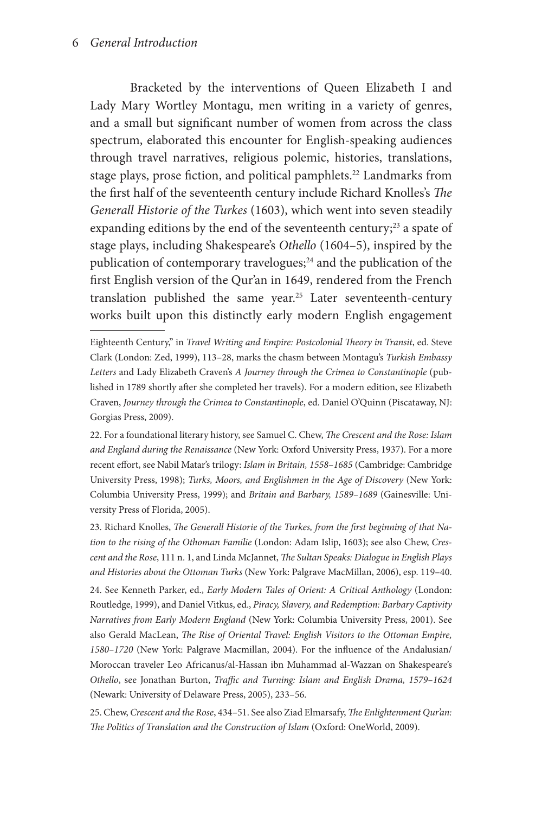Bracketed by the interventions of Queen Elizabeth I and Lady Mary Wortley Montagu, men writing in a variety of genres, and a small but significant number of women from across the class spectrum, elaborated this encounter for English-speaking audiences through travel narratives, religious polemic, histories, translations, stage plays, prose fiction, and political pamphlets.<sup>22</sup> Landmarks from the first half of the seventeenth century include Richard Knolles's *The Generall Historie of the Turkes* (1603), which went into seven steadily expanding editions by the end of the seventeenth century;<sup>23</sup> a spate of stage plays, including Shakespeare's *Othello* (1604–5), inspired by the publication of contemporary travelogues; $^{24}$  and the publication of the first English version of the Qur'an in 1649, rendered from the French translation published the same year.<sup>25</sup> Later seventeenth-century works built upon this distinctly early modern English engagement

23. Richard Knolles, *The Generall Historie of the Turkes, from the first beginning of that Nation to the rising of the Othoman Familie* (London: Adam Islip, 1603); see also Chew, *Crescent and the Rose*, 111 n. 1, and Linda McJannet, *The Sultan Speaks: Dialogue in English Plays and Histories about the Ottoman Turks* (New York: Palgrave MacMillan, 2006), esp. 119–40. 24. See Kenneth Parker, ed., *Early Modern Tales of Orient: A Critical Anthology* (London: Routledge, 1999), and Daniel Vitkus, ed., *Piracy, Slavery, and Redemption: Barbary Captivity Narratives from Early Modern England* (New York: Columbia University Press, 2001). See also Gerald MacLean, *The Rise of Oriental Travel: English Visitors to the Ottoman Empire, 1580–1720* (New York: Palgrave Macmillan, 2004). For the influence of the Andalusian/ Moroccan traveler Leo Africanus/al-Hassan ibn Muhammad al-Wazzan on Shakespeare's *Othello*, see Jonathan Burton, *Traffic and Turning: Islam and English Drama, 1579–1624* (Newark: University of Delaware Press, 2005), 233–56.

25. Chew, *Crescent and the Rose*, 434–51. See also Ziad Elmarsafy, *The Enlightenment Qur'an:*  The Politics of Translation and the Construction of Islam (Oxford: OneWorld, 2009).

Eighteenth Century," in *Travel Writing and Empire: Postcolonial Theory in Transit*, ed. Steve Clark (London: Zed, 1999), 113–28, marks the chasm between Montagu's *Turkish Embassy Letters* and Lady Elizabeth Craven's *A Journey through the Crimea to Constantinople* (published in 1789 shortly after she completed her travels). For a modern edition, see Elizabeth Craven, *Journey through the Crimea to Constantinople*, ed. Daniel O'Quinn (Piscataway, NJ: Gorgias Press, 2009).

<sup>22.</sup> For a foundational literary history, see Samuel C. Chew, *The Crescent and the Rose: Islam and England during the Renaissance* (New York: Oxford University Press, 1937). For a more recent effort, see Nabil Matar's trilogy: *Islam in Britain, 1558–1685* (Cambridge: Cambridge University Press, 1998); *Turks, Moors, and Englishmen in the Age of Discovery* (New York: Columbia University Press, 1999); and *Britain and Barbary, 1589–1689* (Gainesville: University Press of Florida, 2005).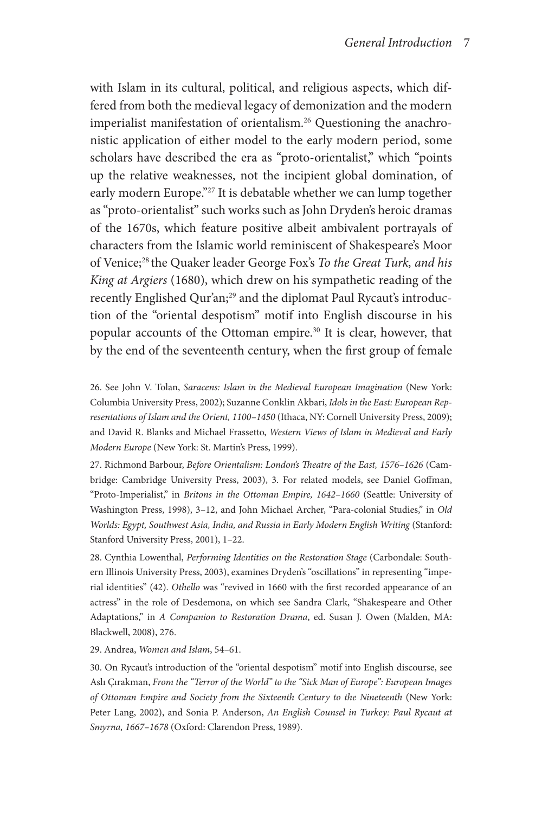with Islam in its cultural, political, and religious aspects, which differed from both the medieval legacy of demonization and the modern imperialist manifestation of orientalism.26 Questioning the anachronistic application of either model to the early modern period, some scholars have described the era as "proto-orientalist," which "points up the relative weaknesses, not the incipient global domination, of early modern Europe."<sup>27</sup> It is debatable whether we can lump together as "proto-orientalist" such works such as John Dryden's heroic dramas of the 1670s, which feature positive albeit ambivalent portrayals of characters from the Islamic world reminiscent of Shakespeare's Moor of Venice;28 the Quaker leader George Fox's *To the Great Turk, and his King at Argiers* (1680), which drew on his sympathetic reading of the recently Englished Qur'an;<sup>29</sup> and the diplomat Paul Rycaut's introduction of the "oriental despotism" motif into English discourse in his popular accounts of the Ottoman empire.<sup>30</sup> It is clear, however, that by the end of the seventeenth century, when the first group of female

26. See John V. Tolan, *Saracens: Islam in the Medieval European Imagination* (New York: Columbia University Press, 2002); Suzanne Conklin Akbari, *Idols in the East: European Representations of Islam and the Orient, 1100–1450* (Ithaca, NY: Cornell University Press, 2009); and David R. Blanks and Michael Frassetto, *Western Views of Islam in Medieval and Early Modern Europe* (New York: St. Martin's Press, 1999).

27. Richmond Barbour, *Before Orientalism: London's Theatre of the East, 1576–1626* (Cambridge: Cambridge University Press, 2003), 3. For related models, see Daniel Goffman, "Proto-Imperialist," in *Britons in the Ottoman Empire, 1642–1660* (Seattle: University of Washington Press, 1998), 3–12, and John Michael Archer, "Para-colonial Studies," in *Old Worlds: Egypt, Southwest Asia, India, and Russia in Early Modern English Writing* (Stanford: Stanford University Press, 2001), 1–22.

28. Cynthia Lowenthal, *Performing Identities on the Restoration Stage* (Carbondale: Southern Illinois University Press, 2003), examines Dryden's "oscillations" in representing "imperial identities" (42). *Othello* was "revived in 1660 with the first recorded appearance of an actress" in the role of Desdemona, on which see Sandra Clark, "Shakespeare and Other Adaptations," in *A Companion to Restoration Drama*, ed. Susan J. Owen (Malden, MA: Blackwell, 2008), 276.

#### 29. Andrea, *Women and Islam*, 54–61.

30. On Rycaut's introduction of the "oriental despotism" motif into English discourse, see Aslı Çırakman, *From the "Terror of the World" to the "Sick Man of Europe": European Images of Ottoman Empire and Society from the Sixteenth Century to the Nineteenth* (New York: Peter Lang, 2002), and Sonia P. Anderson, *An English Counsel in Turkey: Paul Rycaut at Smyrna, 1667–1678* (Oxford: Clarendon Press, 1989).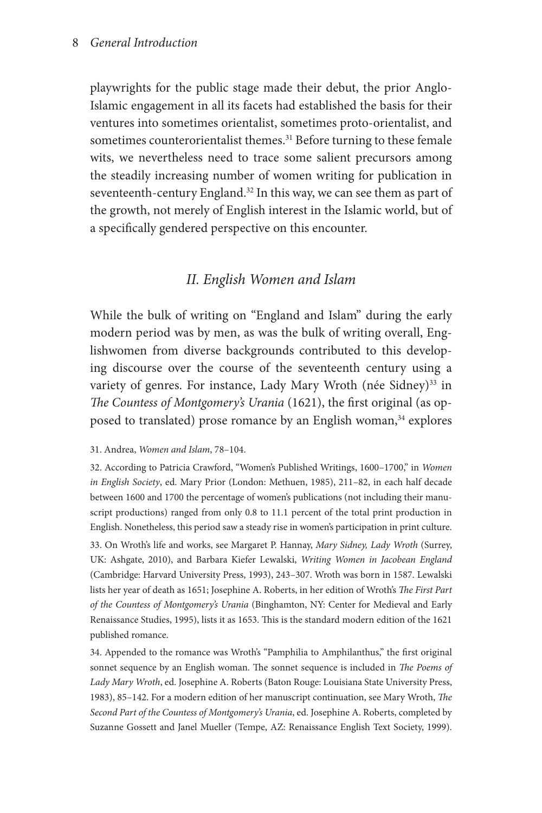playwrights for the public stage made their debut, the prior Anglo-Islamic engagement in all its facets had established the basis for their ventures into sometimes orientalist, sometimes proto-orientalist, and sometimes counterorientalist themes.<sup>31</sup> Before turning to these female wits, we nevertheless need to trace some salient precursors among the steadily increasing number of women writing for publication in seventeenth-century England.<sup>32</sup> In this way, we can see them as part of the growth, not merely of English interest in the Islamic world, but of a specifically gendered perspective on this encounter.

## *II. English Women and Islam*

While the bulk of writing on "England and Islam" during the early modern period was by men, as was the bulk of writing overall, Englishwomen from diverse backgrounds contributed to this developing discourse over the course of the seventeenth century using a variety of genres. For instance, Lady Mary Wroth (née Sidney)<sup>33</sup> in *The Countess of Montgomery's Urania* (1621), the first original (as opposed to translated) prose romance by an English woman,<sup>34</sup> explores

#### 31. Andrea, *Women and Islam*, 78–104.

32. According to Patricia Crawford, "Women's Published Writings, 1600–1700," in *Women in English Society*, ed. Mary Prior (London: Methuen, 1985), 211–82, in each half decade between 1600 and 1700 the percentage of women's publications (not including their manuscript productions) ranged from only 0.8 to 11.1 percent of the total print production in English. Nonetheless, this period saw a steady rise in women's participation in print culture. 33. On Wroth's life and works, see Margaret P. Hannay, *Mary Sidney, Lady Wroth* (Surrey, UK: Ashgate, 2010), and Barbara Kiefer Lewalski, *Writing Women in Jacobean England*  (Cambridge: Harvard University Press, 1993), 243–307. Wroth was born in 1587. Lewalski lists her year of death as 1651; Josephine A. Roberts, in her edition of Wroth's *The First Part of the Countess of Montgomery's Urania* (Binghamton, NY: Center for Medieval and Early Renaissance Studies, 1995), lists it as 1653. This is the standard modern edition of the 1621 published romance.

34. Appended to the romance was Wroth's "Pamphilia to Amphilanthus," the first original sonnet sequence by an English woman. The sonnet sequence is included in *The Poems of Lady Mary Wroth*, ed. Josephine A. Roberts (Baton Rouge: Louisiana State University Press, 1983), 85–142. For a modern edition of her manuscript continuation, see Mary Wroth, *The Second Part of the Countess of Montgomery's Urania*, ed. Josephine A. Roberts, completed by Suzanne Gossett and Janel Mueller (Tempe, AZ: Renaissance English Text Society, 1999).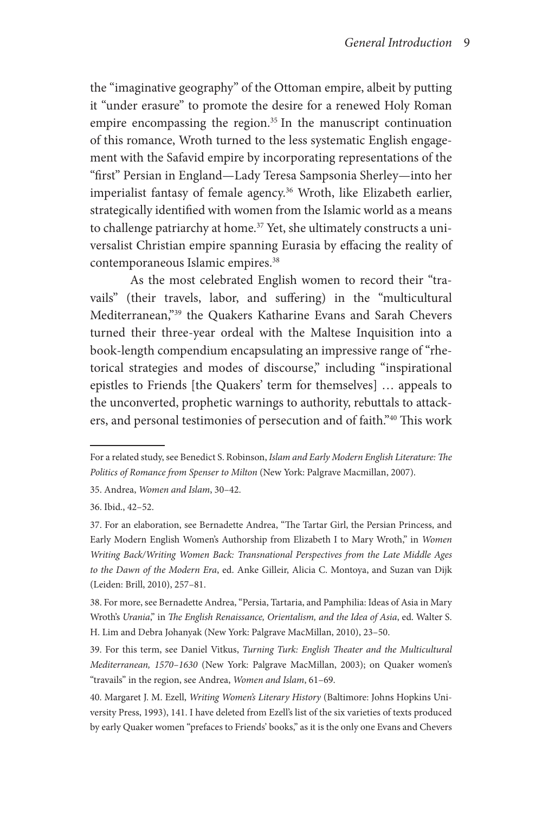the "imaginative geography" of the Ottoman empire, albeit by putting it "under erasure" to promote the desire for a renewed Holy Roman empire encompassing the region. 35 In the manuscript continuation of this romance, Wroth turned to the less systematic English engagement with the Safavid empire by incorporating representations of the "first" Persian in England—Lady Teresa Sampsonia Sherley—into her imperialist fantasy of female agency.<sup>36</sup> Wroth, like Elizabeth earlier, strategically identified with women from the Islamic world as a means to challenge patriarchy at home.<sup>37</sup> Yet, she ultimately constructs a universalist Christian empire spanning Eurasia by effacing the reality of contemporaneous Islamic empires.<sup>38</sup>

As the most celebrated English women to record their "travails" (their travels, labor, and suffering) in the "multicultural Mediterranean,"39 the Quakers Katharine Evans and Sarah Chevers turned their three-year ordeal with the Maltese Inquisition into a book-length compendium encapsulating an impressive range of "rhetorical strategies and modes of discourse," including "inspirational epistles to Friends [the Quakers' term for themselves] … appeals to the unconverted, prophetic warnings to authority, rebuttals to attackers, and personal testimonies of persecution and of faith."40 This work

39. For this term, see Daniel Vitkus, *Turning Turk: English Theater and the Multicultural Mediterranean, 1570–1630* (New York: Palgrave MacMillan, 2003); on Quaker women's "travails" in the region, see Andrea, *Women and Islam*, 61–69.

For a related study, see Benedict S. Robinson, *Islam and Early Modern English Literature: The Politics of Romance from Spenser to Milton* (New York: Palgrave Macmillan, 2007).

<sup>35.</sup> Andrea, *Women and Islam*, 30–42.

<sup>36.</sup> Ibid., 42–52.

<sup>37.</sup> For an elaboration, see Bernadette Andrea, "The Tartar Girl, the Persian Princess, and Early Modern English Women's Authorship from Elizabeth I to Mary Wroth," in *Women Writing Back/Writing Women Back: Transnational Perspectives from the Late Middle Ages to the Dawn of the Modern Era*, ed. Anke Gilleir, Alicia C. Montoya, and Suzan van Dijk (Leiden: Brill, 2010), 257–81.

<sup>38.</sup> For more, see Bernadette Andrea, "Persia, Tartaria, and Pamphilia: Ideas of Asia in Mary Wroth's *Urania*," in *The English Renaissance, Orientalism, and the Idea of Asia*, ed. Walter S. H. Lim and Debra Johanyak (New York: Palgrave MacMillan, 2010), 23–50.

<sup>40.</sup> Margaret J. M. Ezell, *Writing Women's Literary History* (Baltimore: Johns Hopkins University Press, 1993), 141. I have deleted from Ezell's list of the six varieties of texts produced by early Quaker women "prefaces to Friends' books," as it is the only one Evans and Chevers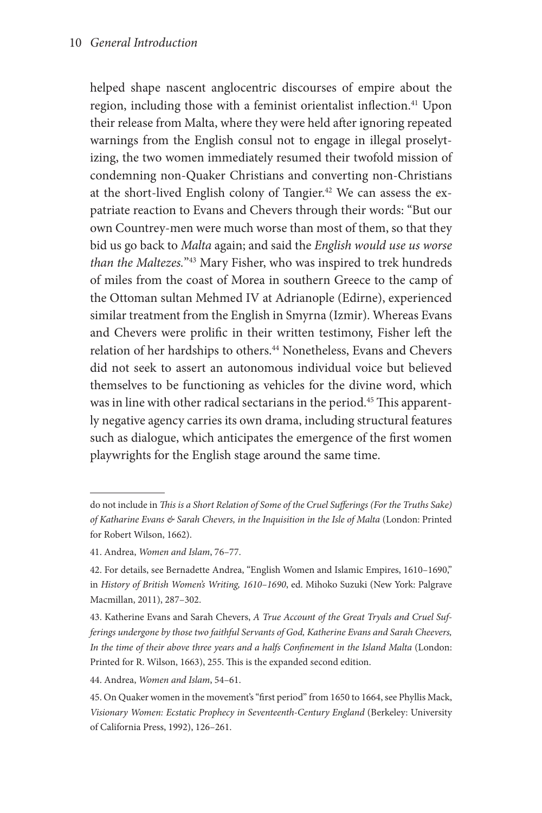helped shape nascent anglocentric discourses of empire about the region, including those with a feminist orientalist inflection.<sup>41</sup> Upon their release from Malta, where they were held after ignoring repeated warnings from the English consul not to engage in illegal proselytizing, the two women immediately resumed their twofold mission of condemning non-Quaker Christians and converting non-Christians at the short-lived English colony of Tangier.<sup>42</sup> We can assess the expatriate reaction to Evans and Chevers through their words: "But our own Countrey-men were much worse than most of them, so that they bid us go back to *Malta* again; and said the *English would use us worse than the Maltezes.*"43 Mary Fisher, who was inspired to trek hundreds of miles from the coast of Morea in southern Greece to the camp of the Ottoman sultan Mehmed IV at Adrianople (Edirne), experienced similar treatment from the English in Smyrna (Izmir). Whereas Evans and Chevers were prolific in their written testimony, Fisher left the relation of her hardships to others.<sup>44</sup> Nonetheless, Evans and Chevers did not seek to assert an autonomous individual voice but believed themselves to be functioning as vehicles for the divine word, which was in line with other radical sectarians in the period.<sup>45</sup> This apparently negative agency carries its own drama, including structural features such as dialogue, which anticipates the emergence of the first women playwrights for the English stage around the same time.

44. Andrea, *Women and Islam*, 54–61.

do not include in *This is a Short Relation of Some of the Cruel Sufferings (For the Truths Sake) of Katharine Evans & Sarah Chevers, in the Inquisition in the Isle of Malta* (London: Printed for Robert Wilson, 1662).

<sup>41.</sup> Andrea, *Women and Islam*, 76–77.

<sup>42.</sup> For details, see Bernadette Andrea, "English Women and Islamic Empires, 1610–1690," in *History of British Women's Writing, 1610–1690*, ed. Mihoko Suzuki (New York: Palgrave Macmillan, 2011), 287–302.

<sup>43.</sup> Katherine Evans and Sarah Chevers, *A True Account of the Great Tryals and Cruel Sufferings undergone by those two faithful Servants of God, Katherine Evans and Sarah Cheevers, In the time of their above three years and a halfs Confinement in the Island Malta* (London: Printed for R. Wilson, 1663), 255. This is the expanded second edition.

<sup>45.</sup> On Quaker women in the movement's "first period" from 1650 to 1664, see Phyllis Mack, *Visionary Women: Ecstatic Prophecy in Seventeenth-Century England* (Berkeley: University of California Press, 1992), 126–261.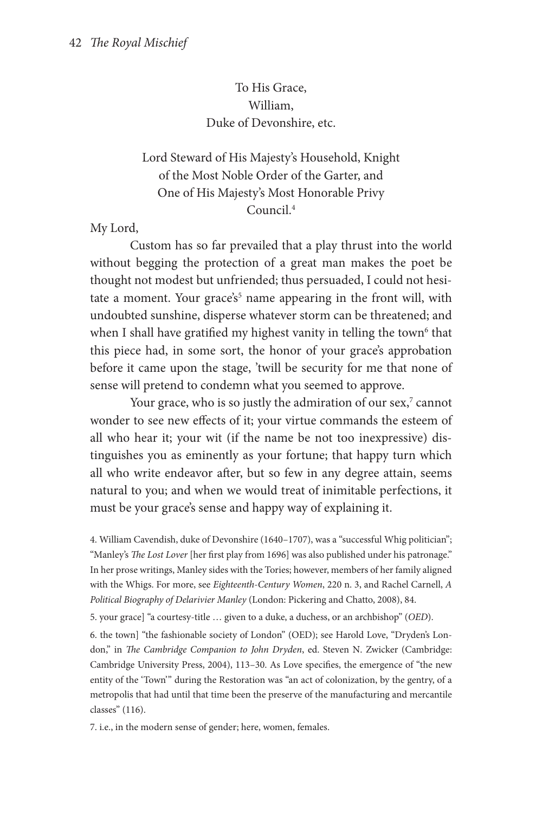To His Grace, William, Duke of Devonshire, etc.

# Lord Steward of His Majesty's Household, Knight of the Most Noble Order of the Garter, and One of His Majesty's Most Honorable Privy Council.4

My Lord,

Custom has so far prevailed that a play thrust into the world without begging the protection of a great man makes the poet be thought not modest but unfriended; thus persuaded, I could not hesitate a moment. Your grace's<sup>5</sup> name appearing in the front will, with undoubted sunshine, disperse whatever storm can be threatened; and when I shall have gratified my highest vanity in telling the town $^6$  that this piece had, in some sort, the honor of your grace's approbation before it came upon the stage, 'twill be security for me that none of sense will pretend to condemn what you seemed to approve.

Your grace, who is so justly the admiration of our sex,<sup>7</sup> cannot wonder to see new effects of it; your virtue commands the esteem of all who hear it; your wit (if the name be not too inexpressive) distinguishes you as eminently as your fortune; that happy turn which all who write endeavor after, but so few in any degree attain, seems natural to you; and when we would treat of inimitable perfections, it must be your grace's sense and happy way of explaining it.

4. William Cavendish, duke of Devonshire (1640–1707), was a "successful Whig politician"; "Manley's *The Lost Lover* [her first play from 1696] was also published under his patronage." In her prose writings, Manley sides with the Tories; however, members of her family aligned with the Whigs. For more, see *Eighteenth-Century Women*, 220 n. 3, and Rachel Carnell, *A Political Biography of Delarivier Manley* (London: Pickering and Chatto, 2008), 84.

5. your grace] "a courtesy-title … given to a duke, a duchess, or an archbishop" (*OED*).

6. the town] "the fashionable society of London" (OED); see Harold Love, "Dryden's London," in *The Cambridge Companion to John Dryden*, ed. Steven N. Zwicker (Cambridge: Cambridge University Press, 2004), 113–30. As Love specifies, the emergence of "the new entity of the 'Town'" during the Restoration was "an act of colonization, by the gentry, of a metropolis that had until that time been the preserve of the manufacturing and mercantile classes" (116).

7. i.e., in the modern sense of gender; here, women, females.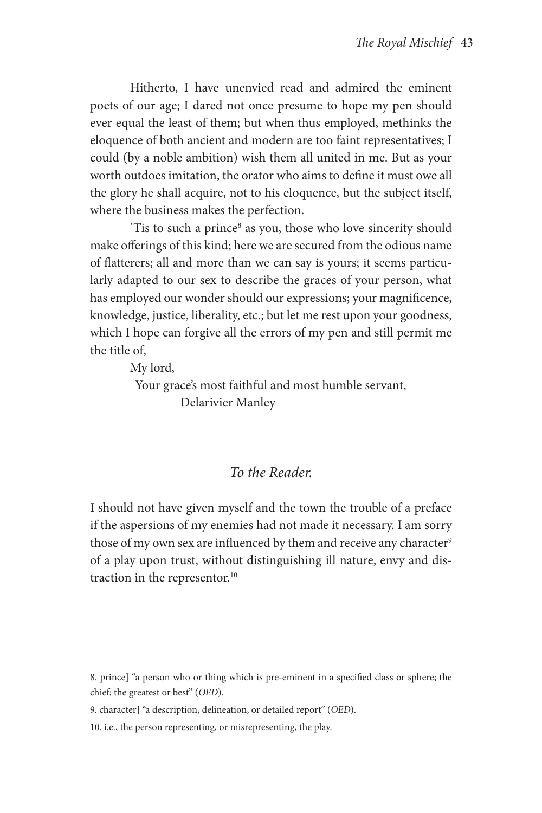Hitherto, I have unenvied read and admired the eminent poets of our age; I dared not once presume to hope my pen should ever equal the least of them; but when thus employed, methinks the eloquence of both ancient and modern are too faint representatives; I could (by a noble ambition) wish them all united in me. But as your worth outdoes imitation, the orator who aims to define it must owe all the glory he shall acquire, not to his eloquence, but the subject itself, where the business makes the perfection.

'Tis to such a prince<sup>8</sup> as you, those who love sincerity should make offerings of this kind; here we are secured from the odious name of flatterers; all and more than we can say is yours; it seems particularly adapted to our sex to describe the graces of your person, what has employed our wonder should our expressions; your magnificence, knowledge, justice, liberality, etc.; but let me rest upon your goodness, which I hope can forgive all the errors of my pen and still permit me the title of,

My lord,

Your grace's most faithful and most humble servant, Delarivier Manley

# *To the Reader.*

I should not have given myself and the town the trouble of a preface if the aspersions of my enemies had not made it necessary. I am sorry those of my own sex are influenced by them and receive any character<sup>9</sup> of a play upon trust, without distinguishing ill nature, envy and distraction in the representor.<sup>10</sup>

8. prince] "a person who or thing which is pre-eminent in a specified class or sphere; the chief; the greatest or best" (*OED*).

9. character] "a description, delineation, or detailed report" (*OED*).

10. i.e., the person representing, or misrepresenting, the play.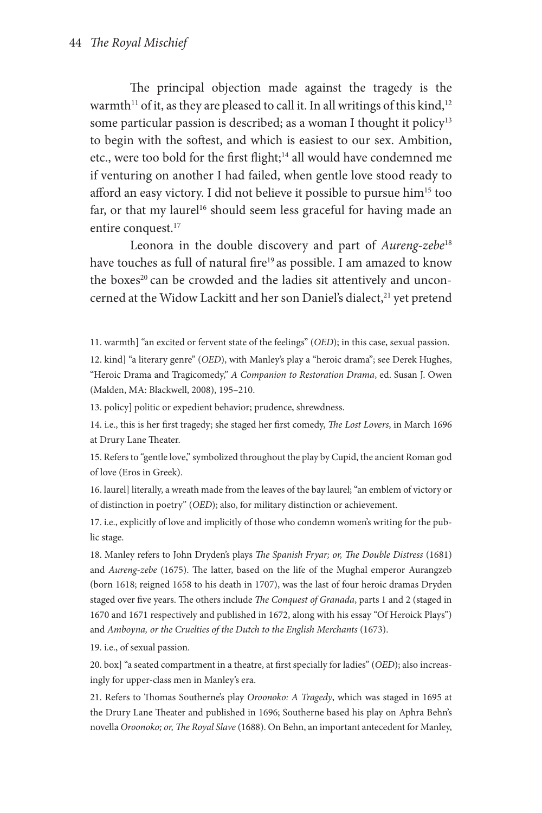The principal objection made against the tragedy is the warmth<sup>11</sup> of it, as they are pleased to call it. In all writings of this kind,<sup>12</sup> some particular passion is described; as a woman I thought it policy<sup>13</sup> to begin with the softest, and which is easiest to our sex. Ambition, etc., were too bold for the first flight;<sup>14</sup> all would have condemned me if venturing on another I had failed, when gentle love stood ready to afford an easy victory. I did not believe it possible to pursue him<sup>15</sup> too far, or that my laurel<sup>16</sup> should seem less graceful for having made an entire conquest.<sup>17</sup>

Leonora in the double discovery and part of *Aureng-zebe*<sup>18</sup> have touches as full of natural fire<sup>19</sup> as possible. I am amazed to know the boxes<sup>20</sup> can be crowded and the ladies sit attentively and unconcerned at the Widow Lackitt and her son Daniel's dialect,<sup>21</sup> yet pretend

11. warmth] "an excited or fervent state of the feelings" (*OED*); in this case, sexual passion.

12. kind] "a literary genre" (*OED*), with Manley's play a "heroic drama"; see Derek Hughes, "Heroic Drama and Tragicomedy," *A Companion to Restoration Drama*, ed. Susan J. Owen (Malden, MA: Blackwell, 2008), 195–210.

13. policy] politic or expedient behavior; prudence, shrewdness.

14. i.e., this is her first tragedy; she staged her first comedy, *The Lost Lovers*, in March 1696 at Drury Lane Theater.

15. Refers to "gentle love," symbolized throughout the play by Cupid, the ancient Roman god of love (Eros in Greek).

16. laurel] literally, a wreath made from the leaves of the bay laurel; "an emblem of victory or of distinction in poetry" (*OED*); also, for military distinction or achievement.

17. i.e., explicitly of love and implicitly of those who condemn women's writing for the public stage.

18. Manley refers to John Dryden's plays *The Spanish Fryar; or, The Double Distress* (1681) and *Aureng-zebe* (1675). The latter, based on the life of the Mughal emperor Aurangzeb (born 1618; reigned 1658 to his death in 1707), was the last of four heroic dramas Dryden staged over five years. The others include *The Conquest of Granada*, parts 1 and 2 (staged in 1670 and 1671 respectively and published in 1672, along with his essay "Of Heroick Plays") and *Amboyna, or the Cruelties of the Dutch to the English Merchants* (1673).

19. i.e., of sexual passion.

20. box] "a seated compartment in a theatre, at first specially for ladies" (*OED*); also increasingly for upper-class men in Manley's era.

21. Refers to Thomas Southerne's play *Oroonoko: A Tragedy*, which was staged in 1695 at the Drury Lane Theater and published in 1696; Southerne based his play on Aphra Behn's novella *Oroonoko; or, The Royal Slave* (1688). On Behn, an important antecedent for Manley,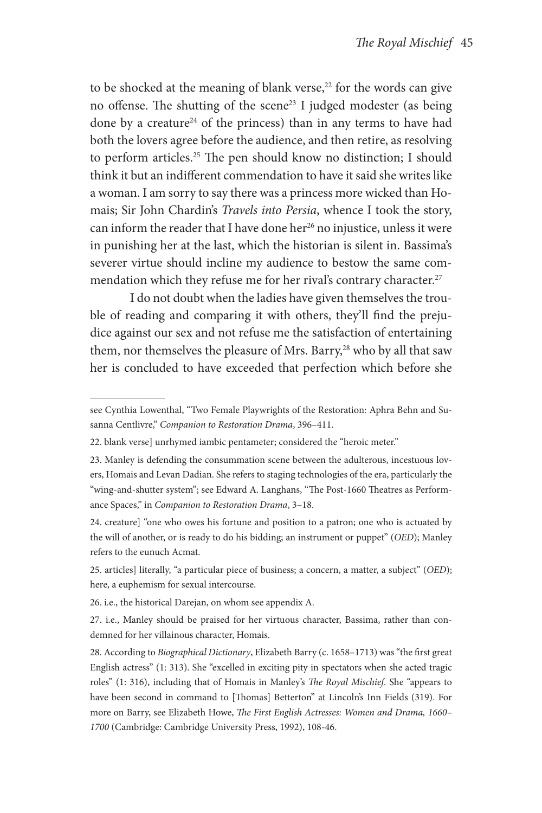to be shocked at the meaning of blank verse, $22$  for the words can give no offense. The shutting of the scene<sup>23</sup> I judged modester (as being done by a creature<sup>24</sup> of the princess) than in any terms to have had both the lovers agree before the audience, and then retire, as resolving to perform articles.25 The pen should know no distinction; I should think it but an indifferent commendation to have it said she writes like a woman. I am sorry to say there was a princess more wicked than Homais; Sir John Chardin's *Travels into Persia*, whence I took the story, can inform the reader that I have done her<sup>26</sup> no injustice, unless it were in punishing her at the last, which the historian is silent in. Bassima's severer virtue should incline my audience to bestow the same commendation which they refuse me for her rival's contrary character.<sup>27</sup>

I do not doubt when the ladies have given themselves the trouble of reading and comparing it with others, they'll find the prejudice against our sex and not refuse me the satisfaction of entertaining them, nor themselves the pleasure of Mrs. Barry, $^{28}$  who by all that saw her is concluded to have exceeded that perfection which before she

26. i.e., the historical Darejan, on whom see appendix A.

see Cynthia Lowenthal, "Two Female Playwrights of the Restoration: Aphra Behn and Susanna Centlivre," *Companion to Restoration Drama*, 396–411.

<sup>22.</sup> blank verse] unrhymed iambic pentameter; considered the "heroic meter."

<sup>23.</sup> Manley is defending the consummation scene between the adulterous, incestuous lovers, Homais and Levan Dadian. She refers to staging technologies of the era, particularly the "wing-and-shutter system"; see Edward A. Langhans, "The Post-1660 Theatres as Performance Spaces," in *Companion to Restoration Drama*, 3–18.

<sup>24.</sup> creature] "one who owes his fortune and position to a patron; one who is actuated by the will of another, or is ready to do his bidding; an instrument or puppet" (*OED*); Manley refers to the eunuch Acmat.

<sup>25.</sup> articles] literally, "a particular piece of business; a concern, a matter, a subject" (*OED*); here, a euphemism for sexual intercourse.

<sup>27.</sup> i.e., Manley should be praised for her virtuous character, Bassima, rather than condemned for her villainous character, Homais.

<sup>28.</sup> According to *Biographical Dictionary*, Elizabeth Barry (c. 1658–1713) was "the first great English actress" (1: 313). She "excelled in exciting pity in spectators when she acted tragic roles" (1: 316), including that of Homais in Manley's *The Royal Mischief*. She "appears to have been second in command to [Thomas] Betterton" at Lincoln's Inn Fields (319). For more on Barry, see Elizabeth Howe, *The First English Actresses: Women and Drama, 1660– 1700* (Cambridge: Cambridge University Press, 1992), 108-46.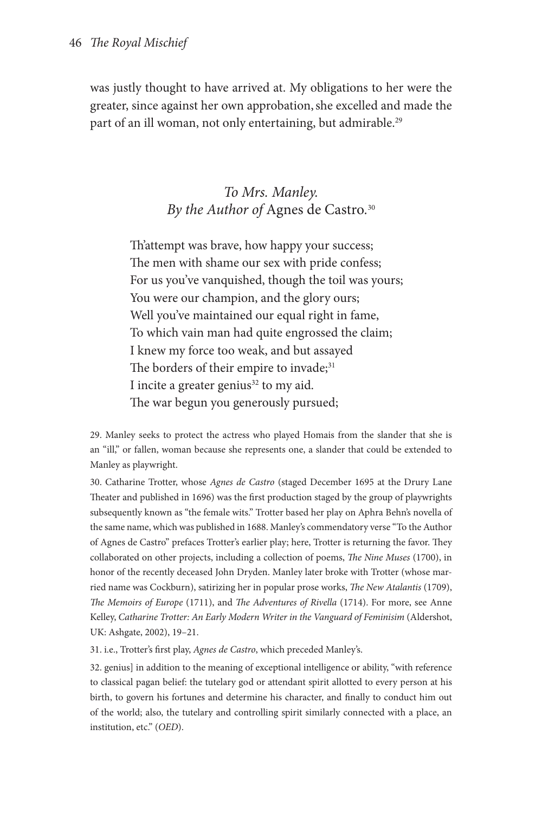was justly thought to have arrived at. My obligations to her were the greater, since against her own approbation,she excelled and made the part of an ill woman, not only entertaining, but admirable.<sup>29</sup>

# *To Mrs. Manley. By the Author of* Agnes de Castro*.* 30

Th'attempt was brave, how happy your success; The men with shame our sex with pride confess; For us you've vanquished, though the toil was yours; You were our champion, and the glory ours; Well you've maintained our equal right in fame, To which vain man had quite engrossed the claim; I knew my force too weak, and but assayed The borders of their empire to invade;<sup>31</sup> I incite a greater genius<sup>32</sup> to my aid. The war begun you generously pursued;

29. Manley seeks to protect the actress who played Homais from the slander that she is an "ill," or fallen, woman because she represents one, a slander that could be extended to Manley as playwright.

30. Catharine Trotter, whose *Agnes de Castro* (staged December 1695 at the Drury Lane Theater and published in 1696) was the first production staged by the group of playwrights subsequently known as "the female wits." Trotter based her play on Aphra Behn's novella of the same name, which was published in 1688. Manley's commendatory verse "To the Author of Agnes de Castro" prefaces Trotter's earlier play; here, Trotter is returning the favor. They collaborated on other projects, including a collection of poems, *The Nine Muses* (1700), in honor of the recently deceased John Dryden. Manley later broke with Trotter (whose married name was Cockburn), satirizing her in popular prose works, *The New Atalantis* (1709), *The Memoirs of Europe* (1711), and *The Adventures of Rivella* (1714). For more, see Anne Kelley, *Catharine Trotter: An Early Modern Writer in the Vanguard of Feminisim* (Aldershot, UK: Ashgate, 2002), 19–21.

31. i.e., Trotter's first play, *Agnes de Castro*, which preceded Manley's.

32. genius] in addition to the meaning of exceptional intelligence or ability, "with reference to classical pagan belief: the tutelary god or attendant spirit allotted to every person at his birth, to govern his fortunes and determine his character, and finally to conduct him out of the world; also, the tutelary and controlling spirit similarly connected with a place, an institution, etc." (*OED*).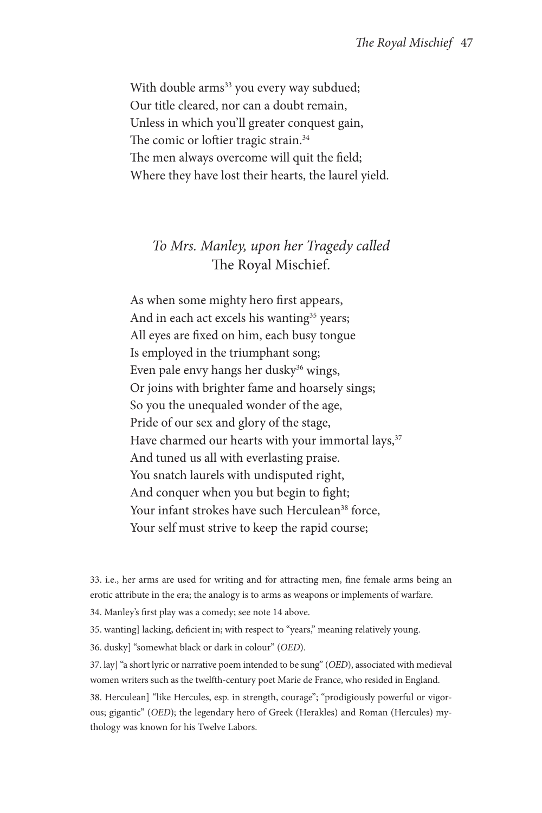With double arms<sup>33</sup> you every way subdued; Our title cleared, nor can a doubt remain, Unless in which you'll greater conquest gain, The comic or loftier tragic strain.<sup>34</sup> The men always overcome will quit the field; Where they have lost their hearts, the laurel yield.

# *To Mrs. Manley, upon her Tragedy called*  The Royal Mischief.

As when some mighty hero first appears, And in each act excels his wanting<sup>35</sup> years; All eyes are fixed on him, each busy tongue Is employed in the triumphant song; Even pale envy hangs her dusky<sup>36</sup> wings, Or joins with brighter fame and hoarsely sings; So you the unequaled wonder of the age, Pride of our sex and glory of the stage, Have charmed our hearts with your immortal lays,<sup>37</sup> And tuned us all with everlasting praise. You snatch laurels with undisputed right, And conquer when you but begin to fight; Your infant strokes have such Herculean<sup>38</sup> force, Your self must strive to keep the rapid course;

33. i.e., her arms are used for writing and for attracting men, fine female arms being an erotic attribute in the era; the analogy is to arms as weapons or implements of warfare.

34. Manley's first play was a comedy; see note 14 above.

35. wanting] lacking, deficient in; with respect to "years," meaning relatively young.

36. dusky] "somewhat black or dark in colour" (*OED*).

37. lay] "a short lyric or narrative poem intended to be sung" (*OED*), associated with medieval women writers such as the twelfth-century poet Marie de France, who resided in England.

38. Herculean] "like Hercules, esp. in strength, courage"; "prodigiously powerful or vigorous; gigantic" (*OED*); the legendary hero of Greek (Herakles) and Roman (Hercules) mythology was known for his Twelve Labors.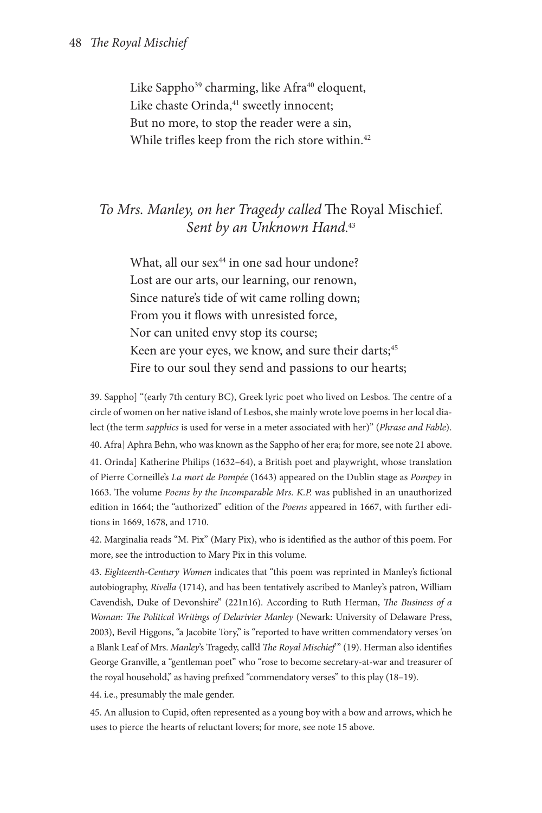Like Sappho<sup>39</sup> charming, like Afra<sup>40</sup> eloquent, Like chaste Orinda,<sup>41</sup> sweetly innocent; But no more, to stop the reader were a sin, While trifles keep from the rich store within.<sup>42</sup>

# *To Mrs. Manley, on her Tragedy called* The Royal Mischief. *Sent by an Unknown Hand*. 43

What, all our  $sex^{44}$  in one sad hour undone? Lost are our arts, our learning, our renown, Since nature's tide of wit came rolling down; From you it flows with unresisted force, Nor can united envy stop its course; Keen are your eyes, we know, and sure their darts;<sup>45</sup> Fire to our soul they send and passions to our hearts;

39. Sappho] "(early 7th century BC), Greek lyric poet who lived on Lesbos. The centre of a circle of women on her native island of Lesbos, she mainly wrote love poems in her local dialect (the term *sapphics* is used for verse in a meter associated with her)" (*Phrase and Fable*). 40. Afra] Aphra Behn, who was known as the Sappho of her era; for more, see note 21 above. 41. Orinda] Katherine Philips (1632–64), a British poet and playwright, whose translation of Pierre Corneille's *La mort de Pompée* (1643) appeared on the Dublin stage as *Pompey* in 1663. The volume *Poems by the Incomparable Mrs. K.P.* was published in an unauthorized edition in 1664; the "authorized" edition of the *Poems* appeared in 1667, with further editions in 1669, 1678, and 1710.

42. Marginalia reads "M. Pix" (Mary Pix), who is identified as the author of this poem. For more, see the introduction to Mary Pix in this volume.

43. *Eighteenth-Century Women* indicates that "this poem was reprinted in Manley's fictional autobiography, *Rivella* (1714), and has been tentatively ascribed to Manley's patron, William Cavendish, Duke of Devonshire" (221n16). According to Ruth Herman, *The Business of a Woman: The Political Writings of Delarivier Manley* (Newark: University of Delaware Press, 2003), Bevil Higgons, "a Jacobite Tory," is "reported to have written commendatory verses 'on a Blank Leaf of Mrs. *Manley*'s Tragedy, call'd *The Royal Mischief*'" (19). Herman also identifies George Granville, a "gentleman poet" who "rose to become secretary-at-war and treasurer of the royal household," as having prefixed "commendatory verses" to this play (18–19).

44. i.e., presumably the male gender.

45. An allusion to Cupid, often represented as a young boy with a bow and arrows, which he uses to pierce the hearts of reluctant lovers; for more, see note 15 above.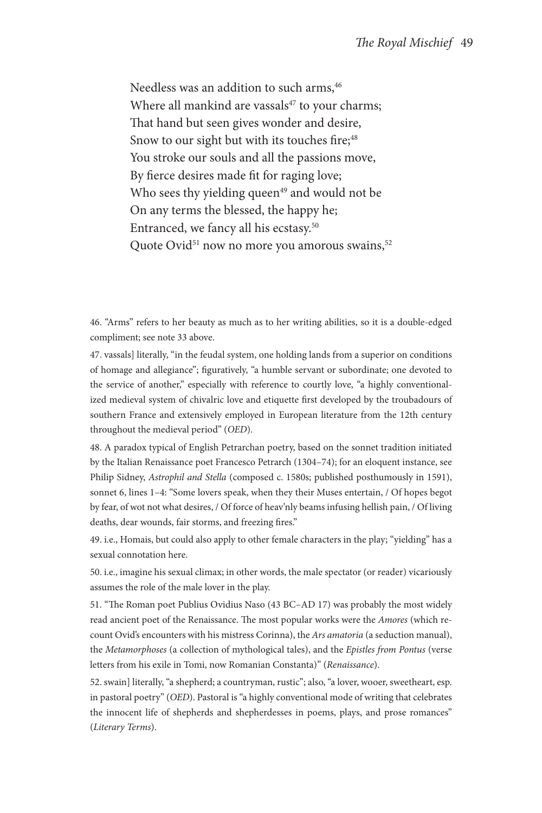Needless was an addition to such arms, 46 Where all mankind are vassals $47$  to your charms; That hand but seen gives wonder and desire, Snow to our sight but with its touches fire;<sup>48</sup> You stroke our souls and all the passions move, By fierce desires made fit for raging love; Who sees thy yielding queen $49$  and would not be On any terms the blessed, the happy he; Entranced, we fancy all his ecstasy.50 Quote Ovid<sup>51</sup> now no more you amorous swains,<sup>52</sup>

46. "Arms" refers to her beauty as much as to her writing abilities, so it is a double-edged compliment; see note 33 above.

47. vassals] literally, "in the feudal system, one holding lands from a superior on conditions of homage and allegiance"; figuratively, "a humble servant or subordinate; one devoted to the service of another," especially with reference to courtly love, "a highly conventionalized medieval system of chivalric love and etiquette first developed by the troubadours of southern France and extensively employed in European literature from the 12th century throughout the medieval period" (*OED*).

48. A paradox typical of English Petrarchan poetry, based on the sonnet tradition initiated by the Italian Renaissance poet Francesco Petrarch (1304–74); for an eloquent instance, see Philip Sidney, *Astrophil and Stella* (composed c. 1580s; published posthumously in 1591), sonnet 6, lines 1-4: "Some lovers speak, when they their Muses entertain, / Of hopes begot by fear, of wot not what desires, / Of force of heav'nly beams infusing hellish pain, / Of living deaths, dear wounds, fair storms, and freezing fires."

49. i.e., Homais, but could also apply to other female characters in the play; "yielding" has a sexual connotation here.

50. i.e., imagine his sexual climax; in other words, the male spectator (or reader) vicariously assumes the role of the male lover in the play.

51. "The Roman poet Publius Ovidius Naso (43 BC–AD 17) was probably the most widely read ancient poet of the Renaissance. The most popular works were the *Amores* (which recount Ovid's encounters with his mistress Corinna), the *Ars amatoria* (a seduction manual), the *Metamorphoses* (a collection of mythological tales), and the *Epistles from Pontus* (verse letters from his exile in Tomi, now Romanian Constanta)" (*Renaissance*).

52. swain] literally, "a shepherd; a countryman, rustic"; also, "a lover, wooer, sweetheart, esp. in pastoral poetry" (*OED*). Pastoral is "a highly conventional mode of writing that celebrates the innocent life of shepherds and shepherdesses in poems, plays, and prose romances" (*Literary Terms*).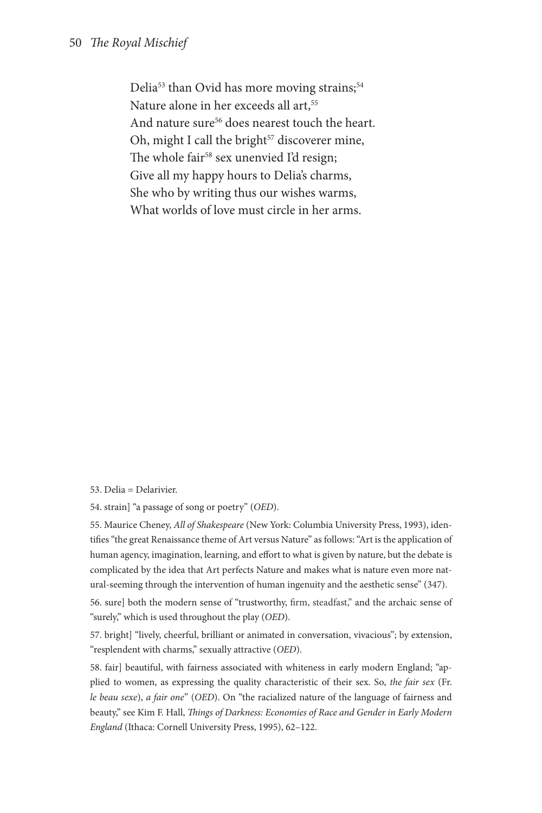Delia<sup>53</sup> than Ovid has more moving strains;<sup>54</sup> Nature alone in her exceeds all art,<sup>55</sup> And nature sure<sup>56</sup> does nearest touch the heart. Oh, might I call the bright<sup>57</sup> discoverer mine, The whole fair<sup>58</sup> sex unenvied I'd resign; Give all my happy hours to Delia's charms, She who by writing thus our wishes warms, What worlds of love must circle in her arms.

53. Delia = Delarivier.

54. strain] "a passage of song or poetry" (*OED*).

55. Maurice Cheney, *All of Shakespeare* (New York: Columbia University Press, 1993), identifies "the great Renaissance theme of Art versus Nature" as follows: "Art is the application of human agency, imagination, learning, and effort to what is given by nature, but the debate is complicated by the idea that Art perfects Nature and makes what is nature even more natural-seeming through the intervention of human ingenuity and the aesthetic sense" (347).

56. sure] both the modern sense of "trustworthy, firm, steadfast," and the archaic sense of "surely," which is used throughout the play (*OED*).

57. bright] "lively, cheerful, brilliant or animated in conversation, vivacious"; by extension, "resplendent with charms," sexually attractive (*OED*).

58. fair] beautiful, with fairness associated with whiteness in early modern England; "applied to women, as expressing the quality characteristic of their sex. So, *the fair sex* (Fr. *le beau sexe*), *a fair one*" (*OED*). On "the racialized nature of the language of fairness and beauty," see Kim F. Hall, *Things of Darkness: Economies of Race and Gender in Early Modern England* (Ithaca: Cornell University Press, 1995), 62–122.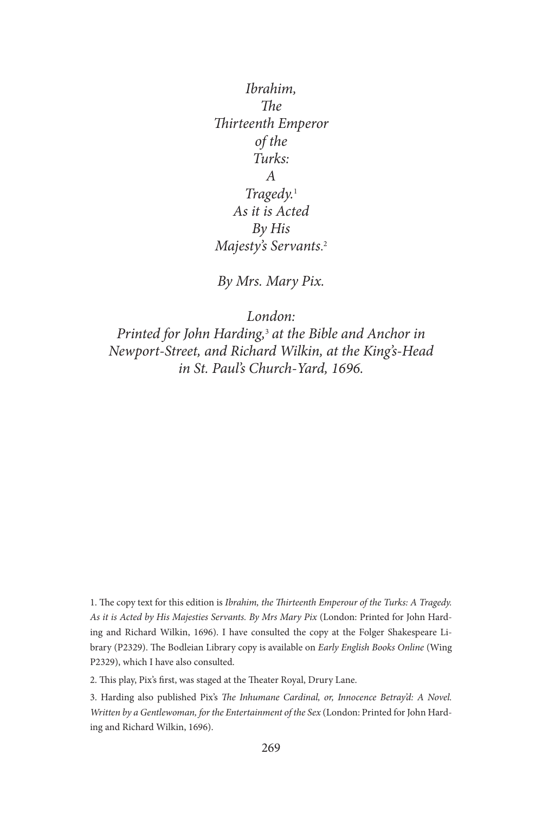*Ibrahim, The Thirteenth Emperor of the Turks: A Tragedy.*<sup>1</sup> *As it is Acted By His Majesty's Servants*. 2

*By Mrs. Mary Pix.*

*London: Printed for John Harding,*<sup>3</sup> *at the Bible and Anchor in Newport-Street, and Richard Wilkin, at the King's-Head in St. Paul's Church-Yard, 1696.* 

1. The copy text for this edition is *Ibrahim, the Thirteenth Emperour of the Turks: A Tragedy. As it is Acted by His Majesties Servants. By Mrs Mary Pix* (London: Printed for John Harding and Richard Wilkin, 1696). I have consulted the copy at the Folger Shakespeare Library (P2329). The Bodleian Library copy is available on *Early English Books Online* (Wing P2329), which I have also consulted.

2. This play, Pix's first, was staged at the Theater Royal, Drury Lane.

3. Harding also published Pix's *The Inhumane Cardinal, or, Innocence Betray'd: A Novel. Written by a Gentlewoman, for the Entertainment of the Sex* (London: Printed for John Harding and Richard Wilkin, 1696).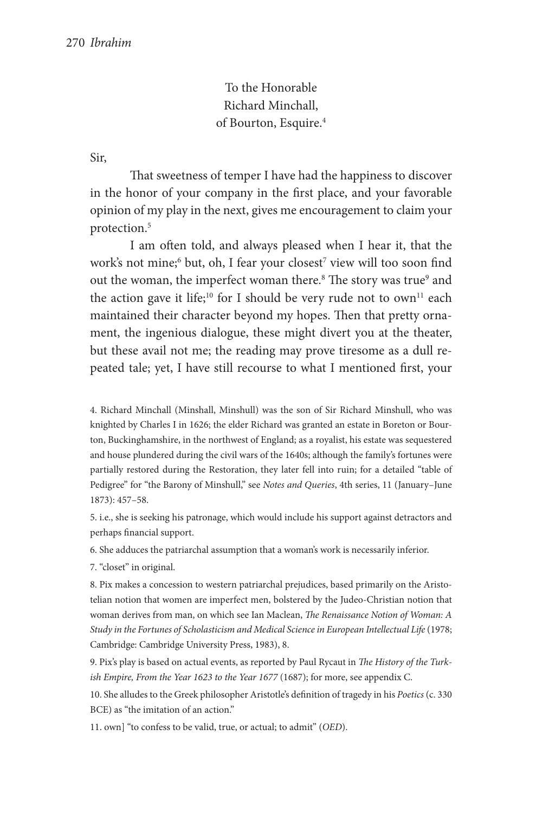To the Honorable Richard Minchall, of Bourton, Esquire.4

Sir,

That sweetness of temper I have had the happiness to discover in the honor of your company in the first place, and your favorable opinion of my play in the next, gives me encouragement to claim your protection.5

I am often told, and always pleased when I hear it, that the work's not mine;<sup>6</sup> but, oh, I fear your closest<sup>7</sup> view will too soon find out the woman, the imperfect woman there.<sup>8</sup> The story was true<sup>9</sup> and the action gave it life;<sup>10</sup> for I should be very rude not to own<sup>11</sup> each maintained their character beyond my hopes. Then that pretty ornament, the ingenious dialogue, these might divert you at the theater, but these avail not me; the reading may prove tiresome as a dull repeated tale; yet, I have still recourse to what I mentioned first, your

4. Richard Minchall (Minshall, Minshull) was the son of Sir Richard Minshull, who was knighted by Charles I in 1626; the elder Richard was granted an estate in Boreton or Bourton, Buckinghamshire, in the northwest of England; as a royalist, his estate was sequestered and house plundered during the civil wars of the 1640s; although the family's fortunes were partially restored during the Restoration, they later fell into ruin; for a detailed "table of Pedigree" for "the Barony of Minshull," see *Notes and Queries*, 4th series, 11 (January–June 1873): 457–58.

5. i.e., she is seeking his patronage, which would include his support against detractors and perhaps financial support.

6. She adduces the patriarchal assumption that a woman's work is necessarily inferior.

7. "closet" in original.

8. Pix makes a concession to western patriarchal prejudices, based primarily on the Aristotelian notion that women are imperfect men, bolstered by the Judeo-Christian notion that woman derives from man, on which see Ian Maclean, *The Renaissance Notion of Woman: A Study in the Fortunes of Scholasticism and Medical Science in European Intellectual Life* (1978; Cambridge: Cambridge University Press, 1983), 8.

9. Pix's play is based on actual events, as reported by Paul Rycaut in *The History of the Turkish Empire, From the Year 1623 to the Year 1677* (1687); for more, see appendix C.

10. She alludes to the Greek philosopher Aristotle's definition of tragedy in his *Poetics* (c. 330 BCE) as "the imitation of an action."

11. own] "to confess to be valid, true, or actual; to admit" (*OED*).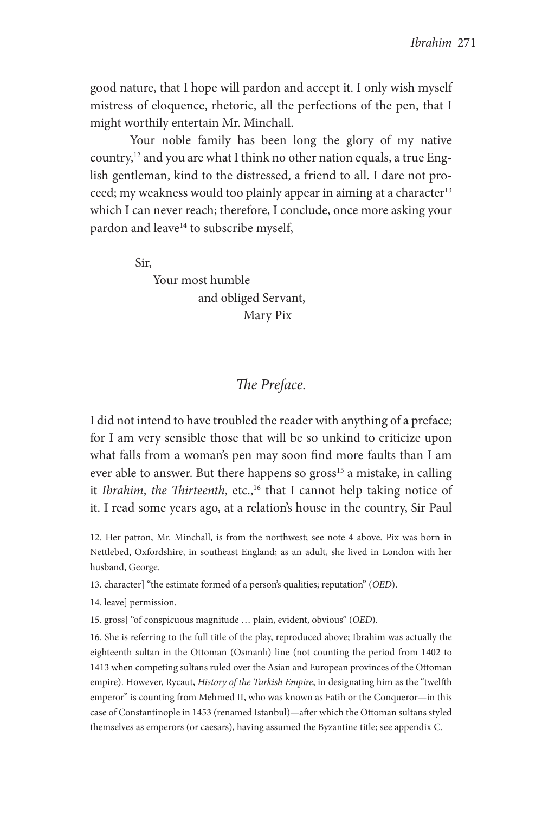good nature, that I hope will pardon and accept it. I only wish myself mistress of eloquence, rhetoric, all the perfections of the pen, that I might worthily entertain Mr. Minchall.

Your noble family has been long the glory of my native country,12 and you are what I think no other nation equals, a true English gentleman, kind to the distressed, a friend to all. I dare not proceed; my weakness would too plainly appear in aiming at a character<sup>13</sup> which I can never reach; therefore, I conclude, once more asking your pardon and leave<sup>14</sup> to subscribe myself,

Sir,

 Your most humble and obliged Servant, Mary Pix

## *The Preface.*

I did not intend to have troubled the reader with anything of a preface; for I am very sensible those that will be so unkind to criticize upon what falls from a woman's pen may soon find more faults than I am ever able to answer. But there happens so gross<sup>15</sup> a mistake, in calling it *Ibrahim*, *the Thirteenth*, etc.,<sup>16</sup> that I cannot help taking notice of it. I read some years ago, at a relation's house in the country, Sir Paul

12. Her patron, Mr. Minchall, is from the northwest; see note 4 above. Pix was born in Nettlebed, Oxfordshire, in southeast England; as an adult, she lived in London with her husband, George.

13. character] "the estimate formed of a person's qualities; reputation" (*OED*).

14. leave] permission.

15. gross] "of conspicuous magnitude … plain, evident, obvious" (*OED*).

16. She is referring to the full title of the play, reproduced above; Ibrahim was actually the eighteenth sultan in the Ottoman (Osmanlı) line (not counting the period from 1402 to 1413 when competing sultans ruled over the Asian and European provinces of the Ottoman empire). However, Rycaut, *History of the Turkish Empire*, in designating him as the "twelfth emperor" is counting from Mehmed II, who was known as Fatih or the Conqueror—in this case of Constantinople in 1453 (renamed Istanbul)—after which the Ottoman sultans styled themselves as emperors (or caesars), having assumed the Byzantine title; see appendix C.